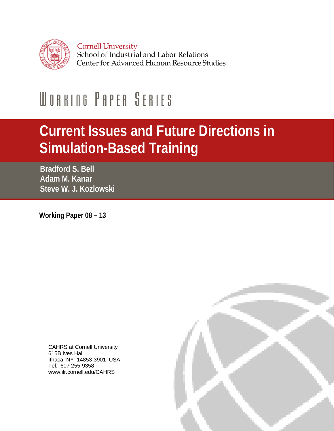

# WORKING PAPER SERIES

## **Current Issues and Future Directions in Simulation-Based Training**

**Bradford S. Bell Adam M. Kanar Steve W. J. Kozlowski** 

**Working Paper 08 – 13** 

CAHRS at Cornell University 615B Ives Hall Ithaca, NY 14853-3901 USA Tel. 607 255-9358 www.ilr.cornell.edu/CAHRS

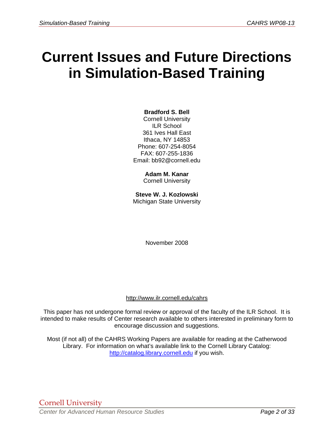### **Current Issues and Future Directions in Simulation-Based Training**

#### **Bradford S. Bell**

Cornell University ILR School 361 Ives Hall East Ithaca, NY 14853 Phone: 607-254-8054 FAX: 607-255-1836 Email: bb92@cornell.edu

> **Adam M. Kanar**  Cornell University

**Steve W. J. Kozlowski**  Michigan State University

November 2008

#### http://www.ilr.cornell.edu/cahrs

This paper has not undergone formal review or approval of the faculty of the ILR School. It is intended to make results of Center research available to others interested in preliminary form to encourage discussion and suggestions.

Most (if not all) of the CAHRS Working Papers are available for reading at the Catherwood Library. For information on what's available link to the Cornell Library Catalog: http://catalog.library.cornell.edu if you wish.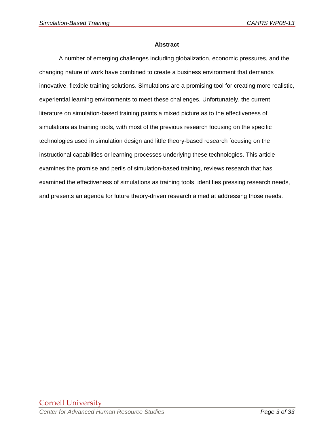#### **Abstract**

A number of emerging challenges including globalization, economic pressures, and the changing nature of work have combined to create a business environment that demands innovative, flexible training solutions. Simulations are a promising tool for creating more realistic, experiential learning environments to meet these challenges. Unfortunately, the current literature on simulation-based training paints a mixed picture as to the effectiveness of simulations as training tools, with most of the previous research focusing on the specific technologies used in simulation design and little theory-based research focusing on the instructional capabilities or learning processes underlying these technologies. This article examines the promise and perils of simulation-based training, reviews research that has examined the effectiveness of simulations as training tools, identifies pressing research needs, and presents an agenda for future theory-driven research aimed at addressing those needs.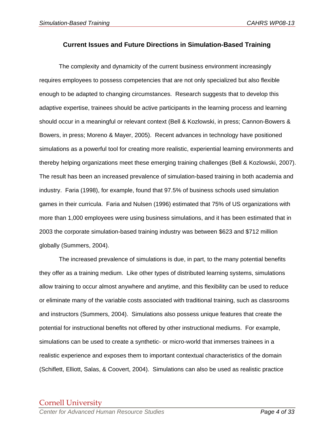#### **Current Issues and Future Directions in Simulation-Based Training**

 The complexity and dynamicity of the current business environment increasingly requires employees to possess competencies that are not only specialized but also flexible enough to be adapted to changing circumstances. Research suggests that to develop this adaptive expertise, trainees should be active participants in the learning process and learning should occur in a meaningful or relevant context (Bell & Kozlowski, in press; Cannon-Bowers & Bowers, in press; Moreno & Mayer, 2005). Recent advances in technology have positioned simulations as a powerful tool for creating more realistic, experiential learning environments and thereby helping organizations meet these emerging training challenges (Bell & Kozlowski, 2007). The result has been an increased prevalence of simulation-based training in both academia and industry. Faria (1998), for example, found that 97.5% of business schools used simulation games in their curricula. Faria and Nulsen (1996) estimated that 75% of US organizations with more than 1,000 employees were using business simulations, and it has been estimated that in 2003 the corporate simulation-based training industry was between \$623 and \$712 million globally (Summers, 2004).

 The increased prevalence of simulations is due, in part, to the many potential benefits they offer as a training medium. Like other types of distributed learning systems, simulations allow training to occur almost anywhere and anytime, and this flexibility can be used to reduce or eliminate many of the variable costs associated with traditional training, such as classrooms and instructors (Summers, 2004). Simulations also possess unique features that create the potential for instructional benefits not offered by other instructional mediums. For example, simulations can be used to create a synthetic- or micro-world that immerses trainees in a realistic experience and exposes them to important contextual characteristics of the domain (Schiflett, Elliott, Salas, & Coovert, 2004). Simulations can also be used as realistic practice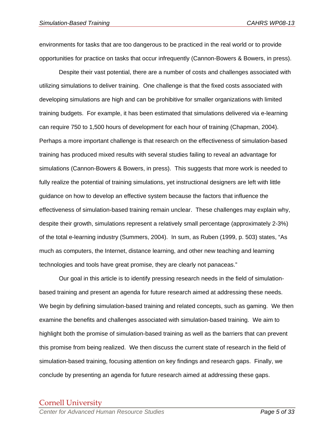environments for tasks that are too dangerous to be practiced in the real world or to provide opportunities for practice on tasks that occur infrequently (Cannon-Bowers & Bowers, in press).

 Despite their vast potential, there are a number of costs and challenges associated with utilizing simulations to deliver training. One challenge is that the fixed costs associated with developing simulations are high and can be prohibitive for smaller organizations with limited training budgets. For example, it has been estimated that simulations delivered via e-learning can require 750 to 1,500 hours of development for each hour of training (Chapman, 2004). Perhaps a more important challenge is that research on the effectiveness of simulation-based training has produced mixed results with several studies failing to reveal an advantage for simulations (Cannon-Bowers & Bowers, in press). This suggests that more work is needed to fully realize the potential of training simulations, yet instructional designers are left with little guidance on how to develop an effective system because the factors that influence the effectiveness of simulation-based training remain unclear. These challenges may explain why, despite their growth, simulations represent a relatively small percentage (approximately 2-3%) of the total e-learning industry (Summers, 2004). In sum, as Ruben (1999, p. 503) states, "As much as computers, the Internet, distance learning, and other new teaching and learning technologies and tools have great promise, they are clearly not panaceas."

 Our goal in this article is to identify pressing research needs in the field of simulationbased training and present an agenda for future research aimed at addressing these needs. We begin by defining simulation-based training and related concepts, such as gaming. We then examine the benefits and challenges associated with simulation-based training. We aim to highlight both the promise of simulation-based training as well as the barriers that can prevent this promise from being realized. We then discuss the current state of research in the field of simulation-based training, focusing attention on key findings and research gaps. Finally, we conclude by presenting an agenda for future research aimed at addressing these gaps.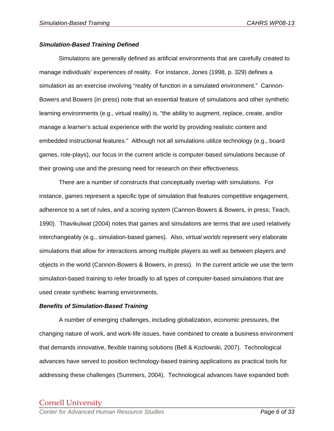#### *Simulation-Based Training Defined*

Simulations are generally defined as artificial environments that are carefully created to manage individuals' experiences of reality. For instance, Jones (1998, p. 329) defines a simulation as an exercise involving "reality of function in a simulated environment." Cannon-Bowers and Bowers (in press) note that an essential feature of simulations and other synthetic learning environments (e.g., virtual reality) is, "the ability to augment, replace, create, and/or manage a learner's actual experience with the world by providing realistic content and embedded instructional features." Although not all simulations utilize technology (e.g., board games, role-plays), our focus in the current article is computer-based simulations because of their growing use and the pressing need for research on their effectiveness.

There are a number of constructs that conceptually overlap with simulations. For instance, *games* represent a specific type of simulation that features competitive engagement, adherence to a set of rules, and a scoring system (Cannon-Bowers & Bowers, in press; Teach, 1990). Thavikulwat (2004) notes that games and simulations are terms that are used relatively interchangeably (e.g., simulation-based games). Also, *virtual worlds* represent very elaborate simulations that allow for interactions among multiple players as well as between players and objects in the world (Cannon-Bowers & Bowers, in press). In the current article we use the term simulation-based training to refer broadly to all types of computer-based simulations that are used create synthetic learning environments.

#### *Benefits of Simulation-Based Training*

 A number of emerging challenges, including globalization, economic pressures, the changing nature of work, and work-life issues, have combined to create a business environment that demands innovative, flexible training solutions (Bell & Kozlowski, 2007). Technological advances have served to position technology-based training applications as practical tools for addressing these challenges (Summers, 2004). Technological advances have expanded both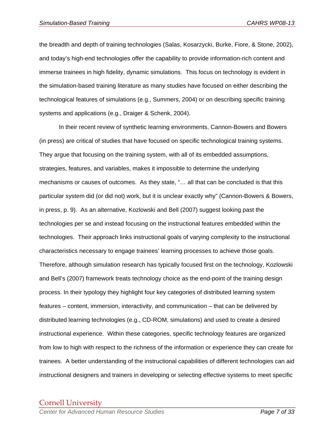the breadth and depth of training technologies (Salas, Kosarzycki, Burke, Fiore, & Stone, 2002), and today's high-end technologies offer the capability to provide information-rich content and immerse trainees in high fidelity, dynamic simulations. This focus on technology is evident in the simulation-based training literature as many studies have focused on either describing the technological features of simulations (e.g., Summers, 2004) or on describing specific training systems and applications (e.g., Draiger & Schenk, 2004).

In their recent review of synthetic learning environments, Cannon-Bowers and Bowers (in press) are critical of studies that have focused on specific technological training systems. They argue that focusing on the training system, with all of its embedded assumptions, strategies, features, and variables, makes it impossible to determine the underlying mechanisms or causes of outcomes. As they state, "… all that can be concluded is that this particular system did (or did not) work, but it is unclear exactly why" (Cannon-Bowers & Bowers, in press, p. 9). As an alternative, Kozlowski and Bell (2007) suggest looking past the technologies per se and instead focusing on the instructional features embedded within the technologies. Their approach links instructional goals of varying complexity to the instructional characteristics necessary to engage trainees' learning processes to achieve those goals. Therefore, although simulation research has typically focused first on the technology, Kozlowski and Bell's (2007) framework treats technology choice as the end-point of the training design process. In their typology they highlight four key categories of distributed learning system features – content, immersion, interactivity, and communication – that can be delivered by distributed learning technologies (e.g., CD-ROM, simulations) and used to create a desired instructional experience. Within these categories, specific technology features are organized from low to high with respect to the richness of the information or experience they can create for trainees. A better understanding of the instructional capabilities of different technologies can aid instructional designers and trainers in developing or selecting effective systems to meet specific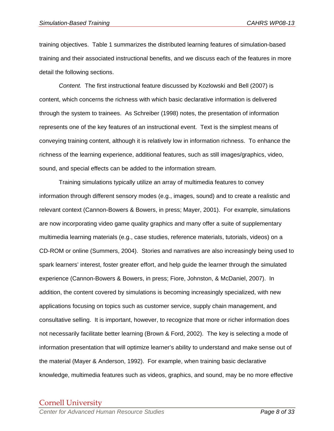training objectives. Table 1 summarizes the distributed learning features of simulation-based training and their associated instructional benefits, and we discuss each of the features in more detail the following sections.

*Content.* The first instructional feature discussed by Kozlowski and Bell (2007) is content, which concerns the richness with which basic declarative information is delivered through the system to trainees. As Schreiber (1998) notes, the presentation of information represents one of the key features of an instructional event. Text is the simplest means of conveying training content, although it is relatively low in information richness. To enhance the richness of the learning experience, additional features, such as still images/graphics, video, sound, and special effects can be added to the information stream.

Training simulations typically utilize an array of multimedia features to convey information through different sensory modes (e.g., images, sound) and to create a realistic and relevant context (Cannon-Bowers & Bowers, in press; Mayer, 2001). For example, simulations are now incorporating video game quality graphics and many offer a suite of supplementary multimedia learning materials (e.g., case studies, reference materials, tutorials, videos) on a CD-ROM or online (Summers, 2004). Stories and narratives are also increasingly being used to spark learners' interest, foster greater effort, and help guide the learner through the simulated experience (Cannon-Bowers & Bowers, in press; Fiore, Johnston, & McDaniel, 2007). In addition, the content covered by simulations is becoming increasingly specialized, with new applications focusing on topics such as customer service, supply chain management, and consultative selling. It is important, however, to recognize that more or richer information does not necessarily facilitate better learning (Brown & Ford, 2002). The key is selecting a mode of information presentation that will optimize learner's ability to understand and make sense out of the material (Mayer & Anderson, 1992). For example, when training basic declarative knowledge, multimedia features such as videos, graphics, and sound, may be no more effective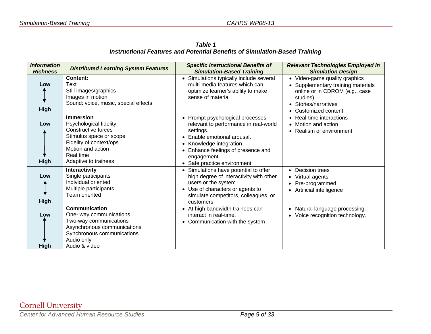*Table 1 Instructional Features and Potential Benefits of Simulation-Based Training* 

| <b>Information</b><br><b>Richness</b> | <b>Distributed Learning System Features</b>                                                                                                                                              | <b>Specific Instructional Benefits of</b><br><b>Simulation-Based Training</b>                                                                                                                                                       | <b>Relevant Technologies Employed in</b><br><b>Simulation Design</b>                                                                                              |
|---------------------------------------|------------------------------------------------------------------------------------------------------------------------------------------------------------------------------------------|-------------------------------------------------------------------------------------------------------------------------------------------------------------------------------------------------------------------------------------|-------------------------------------------------------------------------------------------------------------------------------------------------------------------|
| Low<br><b>High</b>                    | <b>Content:</b><br>Text<br>Still images/graphics<br>Images in motion<br>Sound: voice, music, special effects                                                                             | • Simulations typically include several<br>multi-media features which can<br>optimize learner's ability to make<br>sense of material                                                                                                | • Video-game quality graphics<br>• Supplementary training materials<br>online or in CDROM (e.g., case<br>studies)<br>• Stories/narratives<br>• Customized content |
| Low<br>High                           | <b>Immersion</b><br>Psychological fidelity<br><b>Constructive forces</b><br>Stimulus space or scope<br>Fidelity of context/ops<br>Motion and action<br>Real time<br>Adaptive to trainees | • Prompt psychological processes<br>relevant to performance in real-world<br>settings.<br>Enable emotional arousal.<br>• Knowledge integration.<br>• Enhance feelings of presence and<br>engagement.<br>• Safe practice environment | • Real-time interactions<br>• Motion and action<br>• Realism of environment                                                                                       |
| Low<br>High                           | Interactivity<br>Single participants<br>Individual oriented<br>Multiple participants<br>Team oriented                                                                                    | • Simulations have potential to offer<br>high degree of interactivity with other<br>users or the system<br>• Use of characters or agents to<br>simulate competitors, colleagues, or<br>customers                                    | • Decision trees<br>• Virtual agents<br>Pre-programmed<br>Artificial intelligence                                                                                 |
| Low<br>High                           | <b>Communication</b><br>One- way communications<br>Two-way communications<br>Asynchronous communications<br>Synchronous communications<br>Audio only<br>Audio & video                    | • At high bandwidth trainees can<br>interact in real-time.<br>• Communication with the system                                                                                                                                       | • Natural language processing.<br>• Voice recognition technology.                                                                                                 |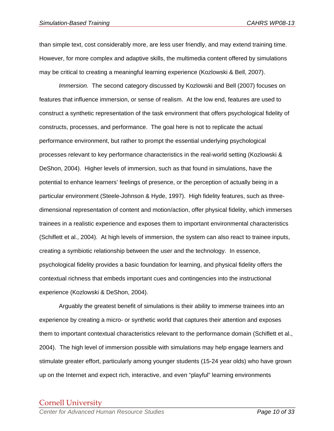than simple text, cost considerably more, are less user friendly, and may extend training time. However, for more complex and adaptive skills, the multimedia content offered by simulations may be critical to creating a meaningful learning experience (Kozlowski & Bell, 2007).

*Immersion.* The second category discussed by Kozlowski and Bell (2007) focuses on features that influence immersion, or sense of realism. At the low end, features are used to construct a synthetic representation of the task environment that offers psychological fidelity of constructs, processes, and performance. The goal here is not to replicate the actual performance environment, but rather to prompt the essential underlying psychological processes relevant to key performance characteristics in the real-world setting (Kozlowski & DeShon, 2004). Higher levels of immersion, such as that found in simulations, have the potential to enhance learners' feelings of presence, or the perception of actually being in a particular environment (Steele-Johnson & Hyde, 1997). High fidelity features, such as threedimensional representation of content and motion/action, offer physical fidelity, which immerses trainees in a realistic experience and exposes them to important environmental characteristics (Schiflett et al., 2004). At high levels of immersion, the system can also react to trainee inputs, creating a symbiotic relationship between the user and the technology. In essence, psychological fidelity provides a basic foundation for learning, and physical fidelity offers the contextual richness that embeds important cues and contingencies into the instructional experience (Kozlowski & DeShon, 2004).

Arguably the greatest benefit of simulations is their ability to immerse trainees into an experience by creating a micro- or synthetic world that captures their attention and exposes them to important contextual characteristics relevant to the performance domain (Schiflett et al., 2004). The high level of immersion possible with simulations may help engage learners and stimulate greater effort, particularly among younger students (15-24 year olds) who have grown up on the Internet and expect rich, interactive, and even "playful" learning environments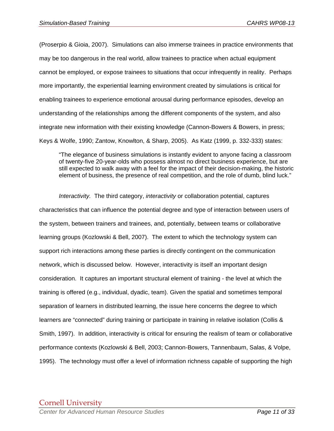(Proserpio & Gioia, 2007). Simulations can also immerse trainees in practice environments that may be too dangerous in the real world, allow trainees to practice when actual equipment cannot be employed, or expose trainees to situations that occur infrequently in reality. Perhaps more importantly, the experiential learning environment created by simulations is critical for enabling trainees to experience emotional arousal during performance episodes, develop an understanding of the relationships among the different components of the system, and also integrate new information with their existing knowledge (Cannon-Bowers & Bowers, in press; Keys & Wolfe, 1990; Zantow, Knowlton, & Sharp, 2005). As Katz (1999, p. 332-333) states:

"The elegance of business simulations is instantly evident to anyone facing a classroom of twenty-five 20-year-olds who possess almost no direct business experience, but are still expected to walk away with a feel for the impact of their decision-making, the historic element of business, the presence of real competition, and the role of dumb, blind luck."

*Interactivity.* The third category, *interactivity* or collaboration potential, captures characteristics that can influence the potential degree and type of interaction between users of the system, between trainers and trainees, and, potentially, between teams or collaborative learning groups (Kozlowski & Bell, 2007). The extent to which the technology system can support rich interactions among these parties is directly contingent on the communication network, which is discussed below. However, interactivity is itself an important design consideration. It captures an important structural element of training - the level at which the training is offered (e.g., individual, dyadic, team). Given the spatial and sometimes temporal separation of learners in distributed learning, the issue here concerns the degree to which learners are "connected" during training or participate in training in relative isolation (Collis & Smith, 1997). In addition, interactivity is critical for ensuring the realism of team or collaborative performance contexts (Kozlowski & Bell, 2003; Cannon-Bowers, Tannenbaum, Salas, & Volpe, 1995). The technology must offer a level of information richness capable of supporting the high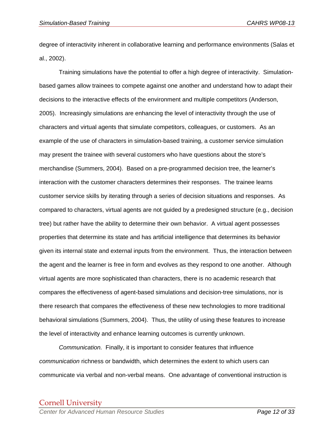degree of interactivity inherent in collaborative learning and performance environments (Salas et al., 2002).

Training simulations have the potential to offer a high degree of interactivity. Simulationbased games allow trainees to compete against one another and understand how to adapt their decisions to the interactive effects of the environment and multiple competitors (Anderson, 2005). Increasingly simulations are enhancing the level of interactivity through the use of characters and virtual agents that simulate competitors, colleagues, or customers. As an example of the use of characters in simulation-based training, a customer service simulation may present the trainee with several customers who have questions about the store's merchandise (Summers, 2004). Based on a pre-programmed decision tree, the learner's interaction with the customer characters determines their responses. The trainee learns customer service skills by iterating through a series of decision situations and responses. As compared to characters, virtual agents are not guided by a predesigned structure (e.g., decision tree) but rather have the ability to determine their own behavior. A virtual agent possesses properties that determine its state and has artificial intelligence that determines its behavior given its internal state and external inputs from the environment. Thus, the interaction between the agent and the learner is free in form and evolves as they respond to one another. Although virtual agents are more sophisticated than characters, there is no academic research that compares the effectiveness of agent-based simulations and decision-tree simulations, nor is there research that compares the effectiveness of these new technologies to more traditional behavioral simulations (Summers, 2004). Thus, the utility of using these features to increase the level of interactivity and enhance learning outcomes is currently unknown.

*Communication.* Finally, it is important to consider features that influence *communication* richness or bandwidth, which determines the extent to which users can communicate via verbal and non-verbal means. One advantage of conventional instruction is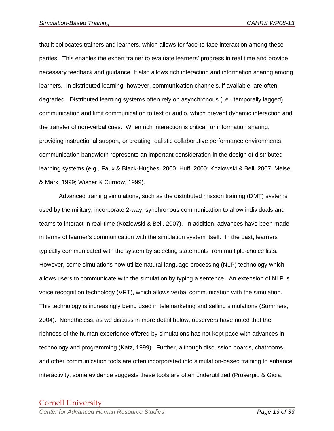that it collocates trainers and learners, which allows for face-to-face interaction among these parties. This enables the expert trainer to evaluate learners' progress in real time and provide necessary feedback and guidance. It also allows rich interaction and information sharing among learners. In distributed learning, however, communication channels, if available, are often degraded. Distributed learning systems often rely on asynchronous (i.e., temporally lagged) communication and limit communication to text or audio, which prevent dynamic interaction and the transfer of non-verbal cues. When rich interaction is critical for information sharing, providing instructional support, or creating realistic collaborative performance environments, communication bandwidth represents an important consideration in the design of distributed learning systems (e.g., Faux & Black-Hughes, 2000; Huff, 2000; Kozlowski & Bell, 2007; Meisel & Marx, 1999; Wisher & Curnow, 1999).

Advanced training simulations, such as the distributed mission training (DMT) systems used by the military, incorporate 2-way, synchronous communication to allow individuals and teams to interact in real-time (Kozlowski & Bell, 2007). In addition, advances have been made in terms of learner's communication with the simulation system itself. In the past, learners typically communicated with the system by selecting statements from multiple-choice lists. However, some simulations now utilize natural language processing (NLP) technology which allows users to communicate with the simulation by typing a sentence. An extension of NLP is voice recognition technology (VRT), which allows verbal communication with the simulation. This technology is increasingly being used in telemarketing and selling simulations (Summers, 2004). Nonetheless, as we discuss in more detail below, observers have noted that the richness of the human experience offered by simulations has not kept pace with advances in technology and programming (Katz, 1999). Further, although discussion boards, chatrooms, and other communication tools are often incorporated into simulation-based training to enhance interactivity, some evidence suggests these tools are often underutilized (Proserpio & Gioia,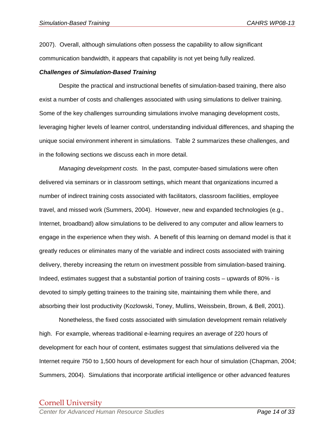2007). Overall, although simulations often possess the capability to allow significant communication bandwidth, it appears that capability is not yet being fully realized.

#### *Challenges of Simulation-Based Training*

 Despite the practical and instructional benefits of simulation-based training, there also exist a number of costs and challenges associated with using simulations to deliver training. Some of the key challenges surrounding simulations involve managing development costs, leveraging higher levels of learner control, understanding individual differences, and shaping the unique social environment inherent in simulations. Table 2 summarizes these challenges, and in the following sections we discuss each in more detail.

*Managing development costs.* In the past, computer-based simulations were often delivered via seminars or in classroom settings, which meant that organizations incurred a number of indirect training costs associated with facilitators, classroom facilities, employee travel, and missed work (Summers, 2004). However, new and expanded technologies (e.g., Internet, broadband) allow simulations to be delivered to any computer and allow learners to engage in the experience when they wish. A benefit of this learning on demand model is that it greatly reduces or eliminates many of the variable and indirect costs associated with training delivery, thereby increasing the return on investment possible from simulation-based training. Indeed, estimates suggest that a substantial portion of training costs – upwards of 80% - is devoted to simply getting trainees to the training site, maintaining them while there, and absorbing their lost productivity (Kozlowski, Toney, Mullins, Weissbein, Brown, & Bell, 2001).

 Nonetheless, the fixed costs associated with simulation development remain relatively high. For example, whereas traditional e-learning requires an average of 220 hours of development for each hour of content, estimates suggest that simulations delivered via the Internet require 750 to 1,500 hours of development for each hour of simulation (Chapman, 2004; Summers, 2004). Simulations that incorporate artificial intelligence or other advanced features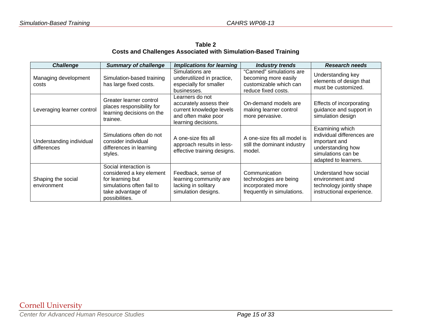**Table 2 Costs and Challenges Associated with Simulation-Based Training** 

| <b>Challenge</b>                        | <b>Summary of challenge</b>                                                                                                               | <b>Implications for learning</b>                                                                                     | <b>Industry trends</b>                                                                            | <b>Research needs</b>                                                                                                             |
|-----------------------------------------|-------------------------------------------------------------------------------------------------------------------------------------------|----------------------------------------------------------------------------------------------------------------------|---------------------------------------------------------------------------------------------------|-----------------------------------------------------------------------------------------------------------------------------------|
| Managing development<br>costs           | Simulation-based training<br>has large fixed costs.                                                                                       | Simulations are<br>underutilized in practice,<br>especially for smaller<br>businesses.                               | "Canned" simulations are<br>becoming more easily<br>customizable which can<br>reduce fixed costs. | Understanding key<br>elements of design that<br>must be customized.                                                               |
| Leveraging learner control              | Greater learner control<br>places responsibility for<br>learning decisions on the<br>trainee.                                             | Learners do not<br>accurately assess their<br>current knowledge levels<br>and often make poor<br>learning decisions. | On-demand models are<br>making learner control<br>more pervasive.                                 | Effects of incorporating<br>guidance and support in<br>simulation design                                                          |
| Understanding individual<br>differences | Simulations often do not<br>consider individual<br>differences in learning<br>styles.                                                     | A one-size fits all<br>approach results in less-<br>effective training designs.                                      | A one-size fits all model is<br>still the dominant industry<br>model.                             | Examining which<br>individual differences are<br>important and<br>understanding how<br>simulations can be<br>adapted to learners. |
| Shaping the social<br>environment       | Social interaction is<br>considered a key element<br>for learning but<br>simulations often fail to<br>take advantage of<br>possibilities. | Feedback, sense of<br>learning community are<br>lacking in solitary<br>simulation designs.                           | Communication<br>technologies are being<br>incorporated more<br>frequently in simulations.        | Understand how social<br>environment and<br>technology jointly shape<br>instructional experience.                                 |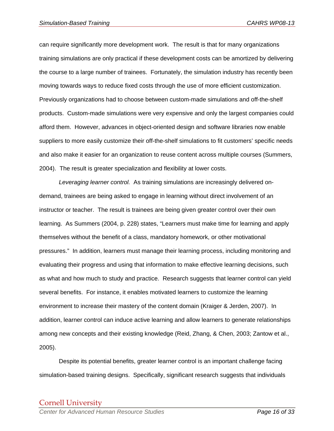can require significantly more development work. The result is that for many organizations training simulations are only practical if these development costs can be amortized by delivering the course to a large number of trainees. Fortunately, the simulation industry has recently been moving towards ways to reduce fixed costs through the use of more efficient customization. Previously organizations had to choose between custom-made simulations and off-the-shelf products. Custom-made simulations were very expensive and only the largest companies could afford them. However, advances in object-oriented design and software libraries now enable suppliers to more easily customize their off-the-shelf simulations to fit customers' specific needs and also make it easier for an organization to reuse content across multiple courses (Summers, 2004). The result is greater specialization and flexibility at lower costs.

*Leveraging learner control.* As training simulations are increasingly delivered ondemand, trainees are being asked to engage in learning without direct involvement of an instructor or teacher. The result is trainees are being given greater control over their own learning. As Summers (2004, p. 228) states, "Learners must make time for learning and apply themselves without the benefit of a class, mandatory homework, or other motivational pressures." In addition, learners must manage their learning process, including monitoring and evaluating their progress and using that information to make effective learning decisions, such as what and how much to study and practice. Research suggests that learner control can yield several benefits. For instance, it enables motivated learners to customize the learning environment to increase their mastery of the content domain (Kraiger & Jerden, 2007). In addition, learner control can induce active learning and allow learners to generate relationships among new concepts and their existing knowledge (Reid, Zhang, & Chen, 2003; Zantow et al., 2005).

 Despite its potential benefits, greater learner control is an important challenge facing simulation-based training designs. Specifically, significant research suggests that individuals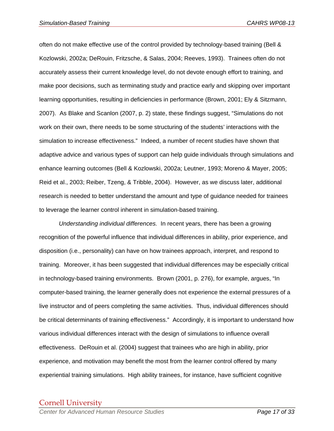often do not make effective use of the control provided by technology-based training (Bell & Kozlowski, 2002a; DeRouin, Fritzsche, & Salas, 2004; Reeves, 1993). Trainees often do not accurately assess their current knowledge level, do not devote enough effort to training, and make poor decisions, such as terminating study and practice early and skipping over important learning opportunities, resulting in deficiencies in performance (Brown, 2001; Ely & Sitzmann, 2007). As Blake and Scanlon (2007, p. 2) state, these findings suggest, "Simulations do not work on their own, there needs to be some structuring of the students' interactions with the simulation to increase effectiveness." Indeed, a number of recent studies have shown that adaptive advice and various types of support can help guide individuals through simulations and enhance learning outcomes (Bell & Kozlowski, 2002a; Leutner, 1993; Moreno & Mayer, 2005; Reid et al., 2003; Reiber, Tzeng, & Tribble, 2004). However, as we discuss later, additional research is needed to better understand the amount and type of guidance needed for trainees to leverage the learner control inherent in simulation-based training.

*Understanding individual differences.* In recent years, there has been a growing recognition of the powerful influence that individual differences in ability, prior experience, and disposition (i.e., personality) can have on how trainees approach, interpret, and respond to training. Moreover, it has been suggested that individual differences may be especially critical in technology-based training environments. Brown (2001, p. 276), for example, argues, "In computer-based training, the learner generally does not experience the external pressures of a live instructor and of peers completing the same activities. Thus, individual differences should be critical determinants of training effectiveness." Accordingly, it is important to understand how various individual differences interact with the design of simulations to influence overall effectiveness. DeRouin et al. (2004) suggest that trainees who are high in ability, prior experience, and motivation may benefit the most from the learner control offered by many experiential training simulations. High ability trainees, for instance, have sufficient cognitive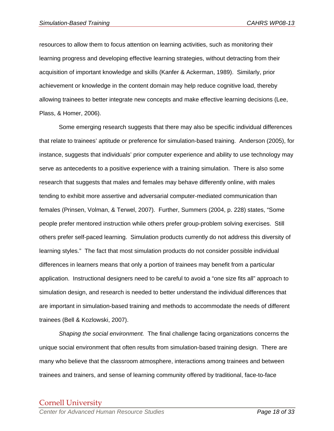resources to allow them to focus attention on learning activities, such as monitoring their learning progress and developing effective learning strategies, without detracting from their acquisition of important knowledge and skills (Kanfer & Ackerman, 1989). Similarly, prior achievement or knowledge in the content domain may help reduce cognitive load, thereby allowing trainees to better integrate new concepts and make effective learning decisions (Lee, Plass, & Homer, 2006).

 Some emerging research suggests that there may also be specific individual differences that relate to trainees' aptitude or preference for simulation-based training. Anderson (2005), for instance, suggests that individuals' prior computer experience and ability to use technology may serve as antecedents to a positive experience with a training simulation. There is also some research that suggests that males and females may behave differently online, with males tending to exhibit more assertive and adversarial computer-mediated communication than females (Prinsen, Volman, & Terwel, 2007). Further, Summers (2004, p. 228) states, "Some people prefer mentored instruction while others prefer group-problem solving exercises. Still others prefer self-paced learning. Simulation products currently do not address this diversity of learning styles." The fact that most simulation products do not consider possible individual differences in learners means that only a portion of trainees may benefit from a particular application. Instructional designers need to be careful to avoid a "one size fits all" approach to simulation design, and research is needed to better understand the individual differences that are important in simulation-based training and methods to accommodate the needs of different trainees (Bell & Kozlowski, 2007).

*Shaping the social environment.* The final challenge facing organizations concerns the unique social environment that often results from simulation-based training design. There are many who believe that the classroom atmosphere, interactions among trainees and between trainees and trainers, and sense of learning community offered by traditional, face-to-face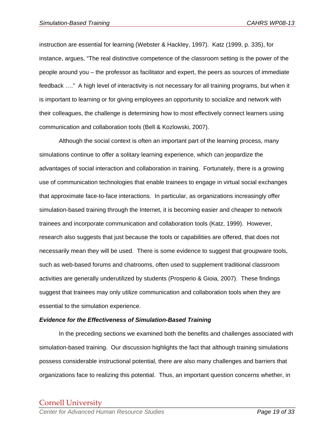instruction are essential for learning (Webster & Hackley, 1997). Katz (1999, p. 335), for instance, argues, "The real distinctive competence of the classroom setting is the power of the people around you – the professor as facilitator and expert, the peers as sources of immediate feedback …." A high level of interactivity is not necessary for all training programs, but when it is important to learning or for giving employees an opportunity to socialize and network with their colleagues, the challenge is determining how to most effectively connect learners using communication and collaboration tools (Bell & Kozlowski, 2007).

Although the social context is often an important part of the learning process, many simulations continue to offer a solitary learning experience, which can jeopardize the advantages of social interaction and collaboration in training. Fortunately, there is a growing use of communication technologies that enable trainees to engage in virtual social exchanges that approximate face-to-face interactions. In particular, as organizations increasingly offer simulation-based training through the Internet, it is becoming easier and cheaper to network trainees and incorporate communication and collaboration tools (Katz, 1999). However, research also suggests that just because the tools or capabilities are offered, that does not necessarily mean they will be used. There is some evidence to suggest that groupware tools, such as web-based forums and chatrooms, often used to supplement traditional classroom activities are generally underutilized by students (Prosperio & Gioia, 2007). These findings suggest that trainees may only utilize communication and collaboration tools when they are essential to the simulation experience.

#### *Evidence for the Effectiveness of Simulation-Based Training*

 In the preceding sections we examined both the benefits and challenges associated with simulation-based training. Our discussion highlights the fact that although training simulations possess considerable instructional potential, there are also many challenges and barriers that organizations face to realizing this potential. Thus, an important question concerns whether, in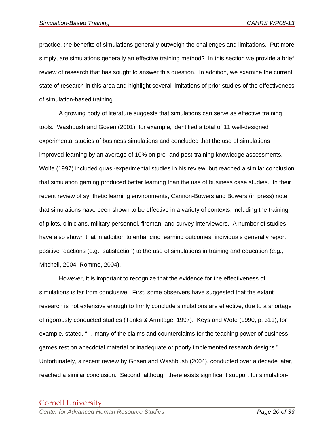practice, the benefits of simulations generally outweigh the challenges and limitations. Put more simply, are simulations generally an effective training method? In this section we provide a brief review of research that has sought to answer this question. In addition, we examine the current state of research in this area and highlight several limitations of prior studies of the effectiveness of simulation-based training.

 A growing body of literature suggests that simulations can serve as effective training tools. Washbush and Gosen (2001), for example, identified a total of 11 well-designed experimental studies of business simulations and concluded that the use of simulations improved learning by an average of 10% on pre- and post-training knowledge assessments. Wolfe (1997) included quasi-experimental studies in his review, but reached a similar conclusion that simulation gaming produced better learning than the use of business case studies. In their recent review of synthetic learning environments, Cannon-Bowers and Bowers (in press) note that simulations have been shown to be effective in a variety of contexts, including the training of pilots, clinicians, military personnel, fireman, and survey interviewers. A number of studies have also shown that in addition to enhancing learning outcomes, individuals generally report positive reactions (e.g., satisfaction) to the use of simulations in training and education (e.g., Mitchell, 2004; Romme, 2004).

 However, it is important to recognize that the evidence for the effectiveness of simulations is far from conclusive. First, some observers have suggested that the extant research is not extensive enough to firmly conclude simulations are effective, due to a shortage of rigorously conducted studies (Tonks & Armitage, 1997). Keys and Wofe (1990, p. 311), for example, stated, "… many of the claims and counterclaims for the teaching power of business games rest on anecdotal material or inadequate or poorly implemented research designs." Unfortunately, a recent review by Gosen and Washbush (2004), conducted over a decade later, reached a similar conclusion. Second, although there exists significant support for simulation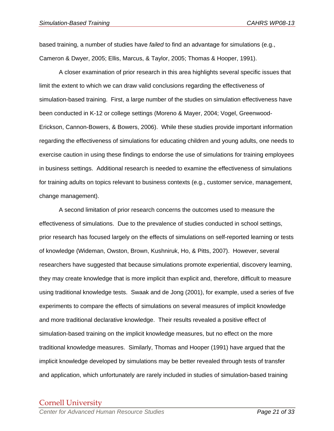based training, a number of studies have *failed* to find an advantage for simulations (e.g., Cameron & Dwyer, 2005; Ellis, Marcus, & Taylor, 2005; Thomas & Hooper, 1991).

A closer examination of prior research in this area highlights several specific issues that limit the extent to which we can draw valid conclusions regarding the effectiveness of simulation-based training. First, a large number of the studies on simulation effectiveness have been conducted in K-12 or college settings (Moreno & Mayer, 2004; Vogel, Greenwood-Erickson, Cannon-Bowers, & Bowers, 2006). While these studies provide important information regarding the effectiveness of simulations for educating children and young adults, one needs to exercise caution in using these findings to endorse the use of simulations for training employees in business settings. Additional research is needed to examine the effectiveness of simulations for training adults on topics relevant to business contexts (e.g., customer service, management, change management).

 A second limitation of prior research concerns the outcomes used to measure the effectiveness of simulations. Due to the prevalence of studies conducted in school settings, prior research has focused largely on the effects of simulations on self-reported learning or tests of knowledge (Wideman, Owston, Brown, Kushniruk, Ho, & Pitts, 2007). However, several researchers have suggested that because simulations promote experiential, discovery learning, they may create knowledge that is more implicit than explicit and, therefore, difficult to measure using traditional knowledge tests. Swaak and de Jong (2001), for example, used a series of five experiments to compare the effects of simulations on several measures of implicit knowledge and more traditional declarative knowledge. Their results revealed a positive effect of simulation-based training on the implicit knowledge measures, but no effect on the more traditional knowledge measures. Similarly, Thomas and Hooper (1991) have argued that the implicit knowledge developed by simulations may be better revealed through tests of transfer and application, which unfortunately are rarely included in studies of simulation-based training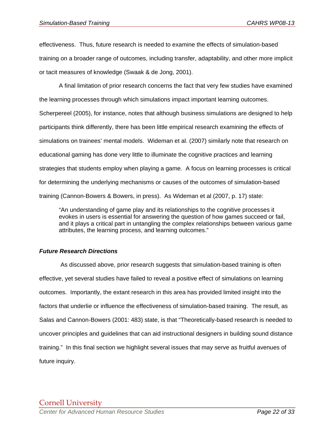effectiveness. Thus, future research is needed to examine the effects of simulation-based training on a broader range of outcomes, including transfer, adaptability, and other more implicit or tacit measures of knowledge (Swaak & de Jong, 2001).

 A final limitation of prior research concerns the fact that very few studies have examined the learning processes through which simulations impact important learning outcomes. Scherpereel (2005), for instance, notes that although business simulations are designed to help participants think differently, there has been little empirical research examining the effects of simulations on trainees' mental models. Wideman et al. (2007) similarly note that research on educational gaming has done very little to illuminate the cognitive practices and learning strategies that students employ when playing a game. A focus on learning processes is critical for determining the underlying mechanisms or causes of the outcomes of simulation-based training (Cannon-Bowers & Bowers, in press). As Wideman et al (2007, p. 17) state:

"An understanding of game play and its relationships to the cognitive processes it evokes in users is essential for answering the question of how games succeed or fail, and it plays a critical part in untangling the complex relationships between various game attributes, the learning process, and learning outcomes."

#### *Future Research Directions*

 As discussed above, prior research suggests that simulation-based training is often effective, yet several studies have failed to reveal a positive effect of simulations on learning outcomes. Importantly, the extant research in this area has provided limited insight into the factors that underlie or influence the effectiveness of simulation-based training. The result, as Salas and Cannon-Bowers (2001: 483) state, is that "Theoretically-based research is needed to uncover principles and guidelines that can aid instructional designers in building sound distance training." In this final section we highlight several issues that may serve as fruitful avenues of future inquiry.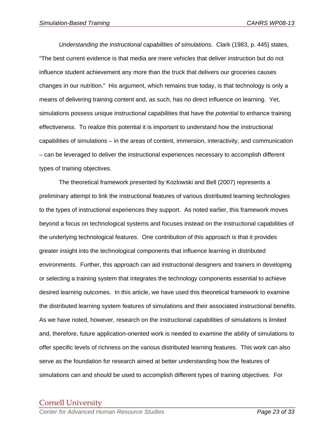*Understanding the instructional capabilities of simulations.* Clark (1983, p. 445) states, "The best current evidence is that media are mere vehicles that deliver instruction but do not influence student achievement any more than the truck that delivers our groceries causes changes in our nutrition." His argument, which remains true today, is that technology is only a means of delivering training content and, as such, has no direct influence on learning. Yet, simulations possess unique instructional capabilities that have the *potential* to enhance training effectiveness. To realize this potential it is important to understand how the instructional capabilities of simulations – in the areas of content, immersion, interactivity, and communication – can be leveraged to deliver the instructional experiences necessary to accomplish different types of training objectives.

 The theoretical framework presented by Kozlowski and Bell (2007) represents a preliminary attempt to link the instructional features of various distributed learning technologies to the types of instructional experiences they support. As noted earlier, this framework moves beyond a focus on technological systems and focuses instead on the instructional capabilities of the underlying technological features. One contribution of this approach is that it provides greater insight into the technological components that influence learning in distributed environments. Further, this approach can aid instructional designers and trainers in developing or selecting a training system that integrates the technology components essential to achieve desired learning outcomes. In this article, we have used this theoretical framework to examine the distributed learning system features of simulations and their associated instructional benefits. As we have noted, however, research on the instructional capabilities of simulations is limited and, therefore, future application-oriented work is needed to examine the ability of simulations to offer specific levels of richness on the various distributed learning features. This work can also serve as the foundation for research aimed at better understanding how the features of simulations can and should be used to accomplish different types of training objectives. For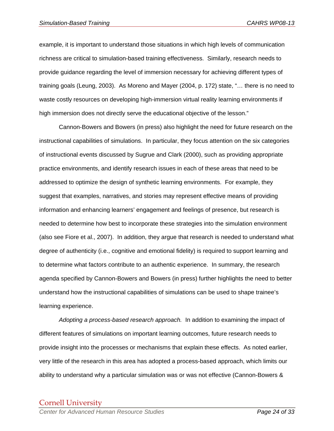example, it is important to understand those situations in which high levels of communication richness are critical to simulation-based training effectiveness. Similarly, research needs to provide guidance regarding the level of immersion necessary for achieving different types of training goals (Leung, 2003). As Moreno and Mayer (2004, p. 172) state, "… there is no need to waste costly resources on developing high-immersion virtual reality learning environments if high immersion does not directly serve the educational objective of the lesson."

 Cannon-Bowers and Bowers (in press) also highlight the need for future research on the instructional capabilities of simulations. In particular, they focus attention on the six categories of instructional events discussed by Sugrue and Clark (2000), such as providing appropriate practice environments, and identify research issues in each of these areas that need to be addressed to optimize the design of synthetic learning environments. For example, they suggest that examples, narratives, and stories may represent effective means of providing information and enhancing learners' engagement and feelings of presence, but research is needed to determine how best to incorporate these strategies into the simulation environment (also see Fiore et al., 2007). In addition, they argue that research is needed to understand what degree of authenticity (i.e., cognitive and emotional fidelity) is required to support learning and to determine what factors contribute to an authentic experience. In summary, the research agenda specified by Cannon-Bowers and Bowers (in press) further highlights the need to better understand how the instructional capabilities of simulations can be used to shape trainee's learning experience.

*Adopting a process-based research approach.* In addition to examining the impact of different features of simulations on important learning outcomes, future research needs to provide insight into the processes or mechanisms that explain these effects. As noted earlier, very little of the research in this area has adopted a process-based approach, which limits our ability to understand why a particular simulation was or was not effective (Cannon-Bowers &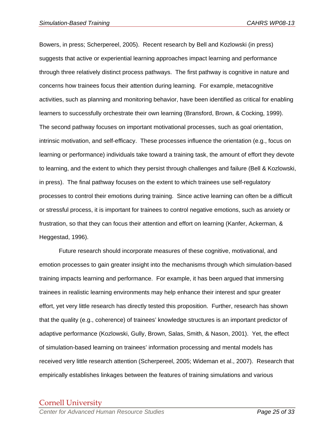Bowers, in press; Scherpereel, 2005). Recent research by Bell and Kozlowski (in press) suggests that active or experiential learning approaches impact learning and performance through three relatively distinct process pathways. The first pathway is cognitive in nature and concerns how trainees focus their attention during learning. For example, metacognitive activities, such as planning and monitoring behavior, have been identified as critical for enabling learners to successfully orchestrate their own learning (Bransford, Brown, & Cocking, 1999). The second pathway focuses on important motivational processes, such as goal orientation, intrinsic motivation, and self-efficacy. These processes influence the orientation (e.g., focus on learning or performance) individuals take toward a training task, the amount of effort they devote to learning, and the extent to which they persist through challenges and failure (Bell & Kozlowski, in press). The final pathway focuses on the extent to which trainees use self-regulatory processes to control their emotions during training. Since active learning can often be a difficult or stressful process, it is important for trainees to control negative emotions, such as anxiety or frustration, so that they can focus their attention and effort on learning (Kanfer, Ackerman, & Heggestad, 1996).

Future research should incorporate measures of these cognitive, motivational, and emotion processes to gain greater insight into the mechanisms through which simulation-based training impacts learning and performance. For example, it has been argued that immersing trainees in realistic learning environments may help enhance their interest and spur greater effort, yet very little research has directly tested this proposition. Further, research has shown that the quality (e.g., coherence) of trainees' knowledge structures is an important predictor of adaptive performance (Kozlowski, Gully, Brown, Salas, Smith, & Nason, 2001). Yet, the effect of simulation-based learning on trainees' information processing and mental models has received very little research attention (Scherpereel, 2005; Wideman et al., 2007). Research that empirically establishes linkages between the features of training simulations and various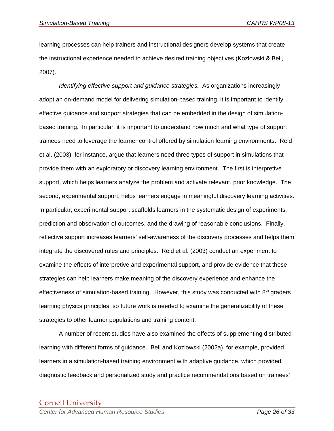learning processes can help trainers and instructional designers develop systems that create the instructional experience needed to achieve desired training objectives (Kozlowski & Bell, 2007).

 *Identifying effective support and guidance strategies.* As organizations increasingly adopt an on-demand model for delivering simulation-based training, it is important to identify effective guidance and support strategies that can be embedded in the design of simulationbased training. In particular, it is important to understand how much and what type of support trainees need to leverage the learner control offered by simulation learning environments. Reid et al. (2003), for instance, argue that learners need three types of support in simulations that provide them with an exploratory or discovery learning environment. The first is interpretive support, which helps learners analyze the problem and activate relevant, prior knowledge. The second, experimental support, helps learners engage in meaningful discovery learning activities. In particular, experimental support scaffolds learners in the systematic design of experiments, prediction and observation of outcomes, and the drawing of reasonable conclusions. Finally, reflective support increases learners' self-awareness of the discovery processes and helps them integrate the discovered rules and principles. Reid et al. (2003) conduct an experiment to examine the effects of interpretive and experimental support, and provide evidence that these strategies can help learners make meaning of the discovery experience and enhance the effectiveness of simulation-based training. However, this study was conducted with  $8<sup>th</sup>$  graders learning physics principles, so future work is needed to examine the generalizability of these strategies to other learner populations and training content.

 A number of recent studies have also examined the effects of supplementing distributed learning with different forms of guidance. Bell and Kozlowski (2002a), for example, provided learners in a simulation-based training environment with adaptive guidance, which provided diagnostic feedback and personalized study and practice recommendations based on trainees'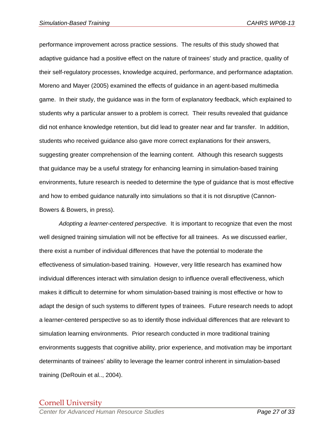performance improvement across practice sessions. The results of this study showed that adaptive guidance had a positive effect on the nature of trainees' study and practice, quality of their self-regulatory processes, knowledge acquired, performance, and performance adaptation. Moreno and Mayer (2005) examined the effects of guidance in an agent-based multimedia game. In their study, the guidance was in the form of explanatory feedback, which explained to students why a particular answer to a problem is correct. Their results revealed that guidance did not enhance knowledge retention, but did lead to greater near and far transfer. In addition, students who received guidance also gave more correct explanations for their answers, suggesting greater comprehension of the learning content. Although this research suggests that guidance may be a useful strategy for enhancing learning in simulation-based training environments, future research is needed to determine the type of guidance that is most effective and how to embed guidance naturally into simulations so that it is not disruptive (Cannon-Bowers & Bowers, in press).

*Adopting a learner-centered perspective.* It is important to recognize that even the most well designed training simulation will not be effective for all trainees. As we discussed earlier, there exist a number of individual differences that have the potential to moderate the effectiveness of simulation-based training. However, very little research has examined how individual differences interact with simulation design to influence overall effectiveness, which makes it difficult to determine for whom simulation-based training is most effective or how to adapt the design of such systems to different types of trainees. Future research needs to adopt a learner-centered perspective so as to identify those individual differences that are relevant to simulation learning environments. Prior research conducted in more traditional training environments suggests that cognitive ability, prior experience, and motivation may be important determinants of trainees' ability to leverage the learner control inherent in simulation-based training (DeRouin et al.., 2004).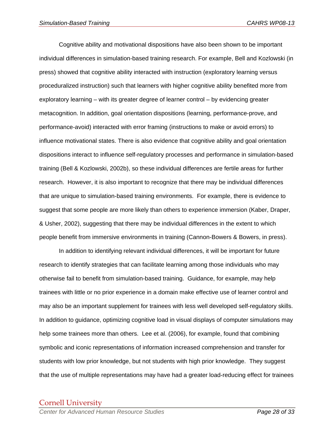Cognitive ability and motivational dispositions have also been shown to be important individual differences in simulation-based training research. For example, Bell and Kozlowski (in press) showed that cognitive ability interacted with instruction (exploratory learning versus proceduralized instruction) such that learners with higher cognitive ability benefited more from exploratory learning – with its greater degree of learner control – by evidencing greater metacognition. In addition, goal orientation dispositions (learning, performance-prove, and performance-avoid) interacted with error framing (instructions to make or avoid errors) to influence motivational states. There is also evidence that cognitive ability and goal orientation dispositions interact to influence self-regulatory processes and performance in simulation-based training (Bell & Kozlowski, 2002b), so these individual differences are fertile areas for further research. However, it is also important to recognize that there may be individual differences that are unique to simulation-based training environments. For example, there is evidence to suggest that some people are more likely than others to experience immersion (Kaber, Draper, & Usher, 2002), suggesting that there may be individual differences in the extent to which people benefit from immersive environments in training (Cannon-Bowers & Bowers, in press).

 In addition to identifying relevant individual differences, it will be important for future research to identify strategies that can facilitate learning among those individuals who may otherwise fail to benefit from simulation-based training. Guidance, for example, may help trainees with little or no prior experience in a domain make effective use of learner control and may also be an important supplement for trainees with less well developed self-regulatory skills. In addition to guidance, optimizing cognitive load in visual displays of computer simulations may help some trainees more than others. Lee et al. (2006), for example, found that combining symbolic and iconic representations of information increased comprehension and transfer for students with low prior knowledge, but not students with high prior knowledge. They suggest that the use of multiple representations may have had a greater load-reducing effect for trainees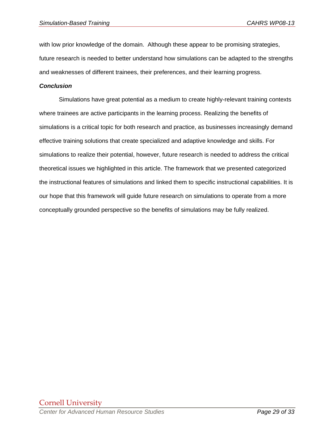with low prior knowledge of the domain. Although these appear to be promising strategies, future research is needed to better understand how simulations can be adapted to the strengths and weaknesses of different trainees, their preferences, and their learning progress.

#### *Conclusion*

Simulations have great potential as a medium to create highly-relevant training contexts where trainees are active participants in the learning process. Realizing the benefits of simulations is a critical topic for both research and practice, as businesses increasingly demand effective training solutions that create specialized and adaptive knowledge and skills. For simulations to realize their potential, however, future research is needed to address the critical theoretical issues we highlighted in this article. The framework that we presented categorized the instructional features of simulations and linked them to specific instructional capabilities. It is our hope that this framework will guide future research on simulations to operate from a more conceptually grounded perspective so the benefits of simulations may be fully realized.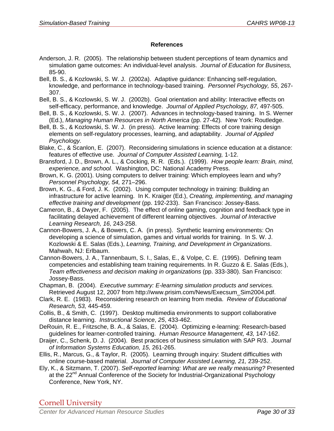#### **References**

- Anderson, J. R. (2005). The relationship between student perceptions of team dynamics and simulation game outcomes: An individual-level analysis. *Journal of Education for Business,* 85-90.
- Bell, B. S., & Kozlowski, S. W. J. (2002a). Adaptive guidance: Enhancing self-regulation, knowledge, and performance in technology-based training. *Personnel Psychology, 55*, 267- 307.
- Bell, B. S., & Kozlowski, S. W. J. (2002b). Goal orientation and ability: Interactive effects on self-efficacy, performance, and knowledge. *Journal of Applied Psychology, 87,* 497-505.
- Bell, B. S., & Kozlowski, S. W. J. (2007). Advances in technology-based training. In S. Werner (Ed.), *Managing Human Resources in North America* (pp. 27-42)*.* New York: Routledge.
- Bell, B. S., & Kozlowski, S. W. J. (in press). Active learning: Effects of core training design elements on self-regulatory processes, learning, and adaptability. *Journal of Applied Psychology.*
- Blake, C., & Scanlon, E. (2007). Reconsidering simulations in science education at a distance: features of effective use. *Journal of Computer Assisted Learning,* 1-12.
- Bransford, J. D., Brown, A. L., & Cocking, R. R. (Eds.). (1999). *How people learn: Brain, mind, experience, and school.* Washington, DC: National Academy Press.
- Brown, K. G. (2001). Using computers to deliver training: Which employees learn and why? *Personnel Psychology, 54,* 271–296.
- Brown, K. G., & Ford, J. K. (2002). Using computer technology in training: Building an infrastructure for active learning. In K. Kraiger (Ed.), *Creating, implementing, and managing effective training and development* (pp. 192-233). San Francisco: Jossey-Bass.
- Cameron, B., & Dwyer, F. (2005). The effect of online gaming, cognition and feedback type in facilitating delayed achievement of different learning objectives. *Journal of Interactive Learning Research, 16,* 243-258.
- Cannon-Bowers, J. A., & Bowers, C. A. (in press). Synthetic learning environments: On developing a science of simulation, games and virtual worlds for training. In S. W. J. Kozlowski & E. Salas (Eds.), *Learning, Training, and Development in Organizations*. Mahwah, NJ: Erlbaum.
- Cannon-Bowers, J. A., Tannenbaum, S. I., Salas, E., & Volpe, C. E. (1995). Defining team competencies and establishing team training requirements. In R. Guzzo & E. Salas (Eds.), *Team effectiveness and decision making in organizations* (pp. 333-380). San Francisco: Jossey-Bass.
- Chapman, B. (2004). *Executive summary: E-learning simulation products and services.* Retrieved August 12, 2007 from http://www.prisim.com/News/Execsum\_Sim2004.pdf.
- Clark, R. E. (1983). Reconsidering research on learning from media. *Review of Educational Research, 53,* 445-459.
- Collis, B., & Smith, C. (1997). Desktop multimedia environments to support collaborative distance learning. *Instructional Science*, *25*, 433-462.
- DeRouin, R. E., Fritzsche, B. A., & Salas, E. (2004). Optimizing e-learning: Research-based guidelines for learner-controlled training. *Human Resource Management, 43,* 147-162.
- Draijer, C., Schenk, D. J. (2004). Best practices of business simulation with SAP R/3. *Journal of Information Systems Education, 15,* 261-265.
- Ellis, R., Marcus, G., & Taylor, R. (2005). Learning through inquiry: Student difficulties with online course-based material. *Journal of Computer Assisted Learning, 21,* 239-252.
- Ely, K., & Sitzmann, T. (2007). *Self-reported learning: What are we really measuring?* Presented at the 22<sup>nd</sup> Annual Conference of the Society for Industrial-Organizational Psychology Conference, New York, NY.

Cornell University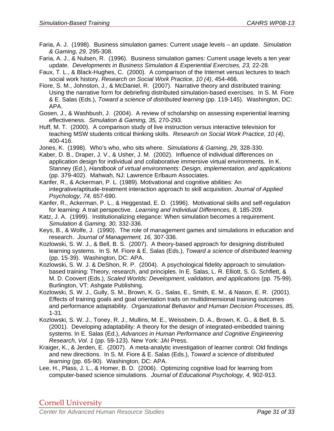- Faria, A. J. (1998). Business simulation games: Current usage levels an update. *Simulation & Gaming, 29,* 295-308.
- Faria, A. J., & Nulsen, R. (1996). Business simulation games: Current usage levels a ten year update. *Developments in Business Simulation & Experiential Exercises, 23,* 22-28.
- Faux, T. L., & Black-Hughes, C. (2000). A comparison of the Internet versus lectures to teach social work history. *Research on Social Work Practice, 10 (4)*, 454-466.
- Fiore, S. M., Johnston, J., & McDaniel, R. (2007). Narrative theory and distributed training: Using the narrative form for debriefing distributed simulation-based exercises. In S. M. Fiore & E. Salas (Eds.), *Toward a science of distributed learning* (pp. 119-145). Washington, DC: APA.
- Gosen, J., & Washbush, J. (2004). A review of scholarship on assessing experiential learning effectiveness. *Simulation & Gaming, 35,* 270-293.
- Huff, M. T. (2000). A comparison study of live instruction versus interactive television for teaching MSW students critical thinking skills. *Research on Social Work Practice, 10 (4)*, 400-416.
- Jones, K. (1998). Who's who, who sits where. *Simulations & Gaming, 29,* 328-330.
- Kaber, D. B., Draper, J. V., & Usher, J. M. (2002). Influence of individual differences on application design for individual and collaborative immersive virtual environments. In K. Stanney (Ed.), *Handbook of virtual environments: Design, implementation, and applications*  (pp. 379-402). Mahwah, NJ: Lawrence Erlbaum Associates.
- Kanfer, R., & Ackerman, P. L. (1989). Motivational and cognitive abilities: An integrative/aptitude-treatment interaction approach to skill acquisition. *Journal of Applied Psychology, 74,* 657-690.
- Kanfer, R., Ackerman, P. L., & Heggestad, E. D. (1996). Motivational skills and self-regulation for learning: A trait perspective. *Learning and Individual Differences, 8,* 185-209.
- Katz, J. A. (1999). Institutionalizing elegance: When simulation becomes a requirement. *Simulation & Gaming, 30,* 332-336.
- Keys, B., & Wolfe, J. (1990). The role of management games and simulations in education and research. *Journal of Management, 16,* 307-336.
- Kozlowski, S. W. J., & Bell, B. S. (2007). A theory-based approach for designing distributed learning systems. In S. M. Fiore & E. Salas (Eds.), *Toward a science of distributed learning* (pp. 15-39). Washington, DC: APA.
- Kozlowski, S. W. J. & DeShon, R. P. (2004). A psychological fidelity approach to simulationbased training: Theory, research, and principles. In E. Salas, L. R. Elliott, S. G. Schflett, & M. D. Coovert (Eds.), *Scaled Worlds: Development, validation, and applications* (pp. 75-99). Burlington, VT: Ashgate Publishing.
- Kozlowski, S. W. J., Gully, S. M., Brown, K. G., Salas, E., Smith, E. M., & Nason, E. R. (2001). Effects of training goals and goal orientation traits on multidimensional training outcomes and performance adaptability. *Organizational Behavior and Human Decision Processes, 85,* 1-31.
- Kozlowski, S. W. J., Toney, R. J., Mullins, M. E., Weissbein, D. A., Brown, K. G., & Bell, B. S. (2001). Developing adaptability: A theory for the design of integrated-embedded training systems. In E. Salas (Ed.), *Advances in Human Performance and Cognitive Engineering Research, Vol. 1* (pp. 59-123). New York: JAI Press.
- Kraiger, K., & Jerden, E. (2007). A meta-analytic investigation of learner control: Old findings and new directions. In S. M. Fiore & E. Salas (Eds.), *Toward a science of distributed learning* (pp. 65-90). Washington, DC: APA.
- Lee, H., Plass, J. L., & Homer, B. D. (2006). Optimizing cognitive load for learning from computer-based science simulations. *Journal of Educational Psychology, 4,* 902-913.

Cornell University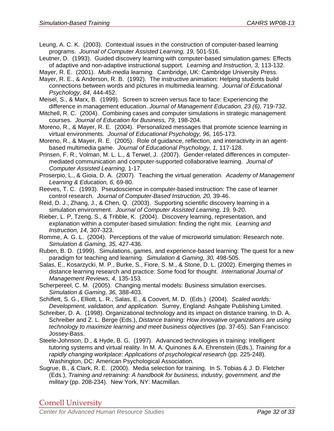Leung, A. C. K. (2003). Contextual issues in the construction of computer-based learning programs. *Journal of Computer Assisted Learning, 19,* 501-516.

Leutner, D. (1993). Guided discovery learning with computer-based simulation games: Effects of adaptive and non-adaptive instructional support. *Learning and Instruction, 3,* 113-132.

Mayer, R. E. (2001). *Multi-media learning.* Cambridge, UK: Cambridge University Press.

- Mayer, R. E., & Anderson, R. B. (1992). The instructive animation: Helping students build connections between words and pictures in multimedia learning. *Journal of Educational Psychology, 84*, 444-452.
- Meisel, S., & Marx, B. (1999). Screen to screen versus face to face: Experiencing the difference in management education. *Journal of Management Education, 23 (6),* 719-732.
- Mitchell, R. C. (2004). Combining cases and computer simulations in strategic management courses. *Journal of Education for Business, 79,* 198-204.
- Moreno, R., & Mayer, R. E. (2004). Personalized messages that promote science learning in virtual environments. *Journal of Educational Psychology, 96,* 165-173.
- Moreno, R., & Mayer, R. E. (2005). Role of guidance, reflection, and interactivity in an agentbased multimedia game. *Journal of Educational Psychology, 1,* 117-128.
- Prinsen, F. R., Volman, M. L. L., & Terwel, J. (2007). Gender-related differences in computermediated communication and computer-supported collaborative learning. *Journal of Computer Assisted Learning,* 1-17.
- Proserpio, L., & Gioia, D. A. (2007). Teaching the virtual generation. *Academy of Management Learning & Education, 6,* 69-80.
- Reeves, T. C. (1993). Pseudoscience in computer-based instruction: The case of learner control research. *Journal of Computer-Based Instruction, 20,* 39-46.
- Reid, D. J., Zhang, J., & Chen, Q. (2003). Supporting scientific discovery learning in a simulation environment. *Journal of Computer Assisted Learning, 19,* 9-20.
- Rieber, L. P, Tzeng, S., & Tribble, K. (2004). Discovery learning, representation, and explanation within a computer-based simulation: finding the right mix. *Learning and Instruction, 14,* 307-323.
- Romme, A. G. L. (2004). Perceptions of the value of microworld simulation: Research note. *Simulation & Gaming, 35,* 427-436.
- Ruben, B. D. (1999). Simulations, games, and experience-based learning: The quest for a new paradigm for teaching and learning. *Simulation & Gaming, 30,* 498-505.
- Salas, E., Kosarzycki, M. P., Burke, S., Fiore, S. M., & Stone, D. L. (2002). Emerging themes in distance learning research and practice: Some food for thought. *International Journal of Management Reviews, 4,* 135-153*.*
- Scherpereel, C. M. (2005). Changing mental models: Business simulation exercises. *Simulation & Gaming, 36,* 388-403.
- Schiflett, S. G., Elliott, L. R., Salas, E., & Coovert, M. D. (Eds.) (2004). *Scaled worlds: Development, validation, and application.* Surrey, England: Ashgate Publishing Limited.
- Schreiber, D. A. (1998). Organizational technology and its impact on distance training. In D. A. Schreiber and Z. L. Berge (Eds.), *Distance training: How innovative organizations are using technology to maximize learning and meet business objectives* (pp. 37-65). San Francisco: Jossey-Bass.
- Steele-Johnson, D., & Hyde, B. G. (1997). Advanced technologies in training: Intelligent tutoring systems and virtual reality. In M. A. Quinones & A. Ehrenstein (Eds.), *Training for a*  rapidly changing workplace: Applications of psychological research (pp. 225-248). Washington, DC: American Psychological Association.
- Sugrue, B., & Clark, R. E. (2000). Media selection for training. In S. Tobias & J. D. Fletcher (Eds.), *Training and retraining: A handbook for business, industry, government, and the military* (pp. 208-234). New York, NY: Macmillan.

Cornell University